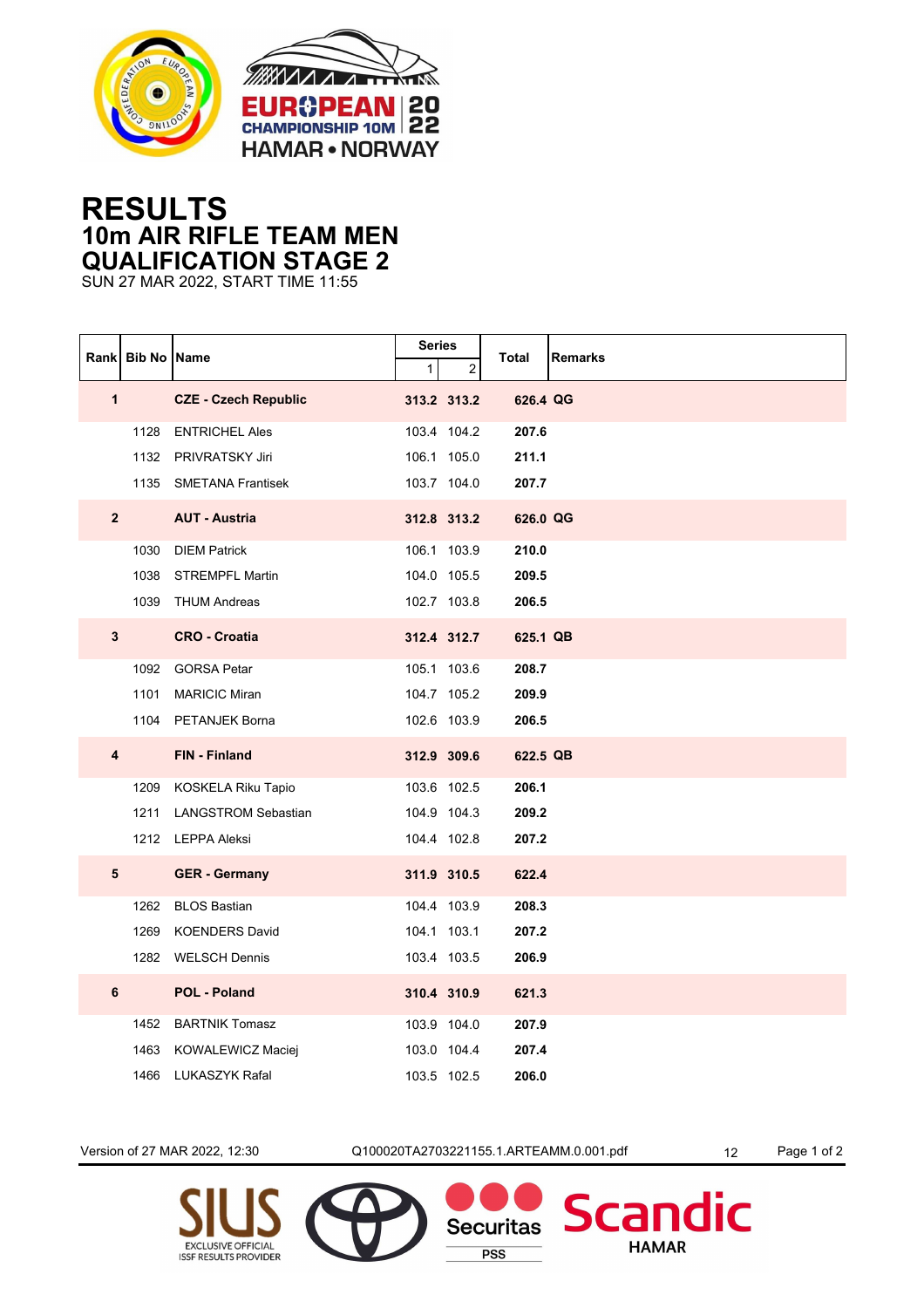



## **RESULTS 10m AIR RIFLE TEAM MEN QUALIFICATION STAGE 2**

SUN 27 MAR 2022, START TIME 11:55

|                | Rank Bib No Name |                             | Series       |             | Total<br><b>Remarks</b> |
|----------------|------------------|-----------------------------|--------------|-------------|-------------------------|
|                |                  |                             | $\mathbf{1}$ | 2           |                         |
| $\mathbf{1}$   |                  | <b>CZE - Czech Republic</b> |              | 313.2 313.2 | 626.4 QG                |
|                | 1128             | <b>ENTRICHEL Ales</b>       |              | 103.4 104.2 | 207.6                   |
|                | 1132             | PRIVRATSKY Jiri             |              | 106.1 105.0 | 211.1                   |
|                |                  | 1135 SMETANA Frantisek      |              | 103.7 104.0 | 207.7                   |
| 2 <sup>1</sup> |                  | <b>AUT - Austria</b>        |              | 312.8 313.2 | 626.0 QG                |
|                | 1030             | <b>DIEM Patrick</b>         |              | 106.1 103.9 | 210.0                   |
|                | 1038             | <b>STREMPFL Martin</b>      |              | 104.0 105.5 | 209.5                   |
|                |                  | 1039 THUM Andreas           |              | 102.7 103.8 | 206.5                   |
| $3\phantom{a}$ |                  | <b>CRO - Croatia</b>        |              | 312.4 312.7 | 625.1 QB                |
|                |                  | 1092 GORSA Petar            |              | 105.1 103.6 | 208.7                   |
|                | 1101             | <b>MARICIC Miran</b>        |              | 104.7 105.2 | 209.9                   |
|                |                  | 1104 PETANJEK Borna         |              | 102.6 103.9 | 206.5                   |
| 4              |                  | <b>FIN-Finland</b>          |              | 312.9 309.6 | 622.5 QB                |
|                |                  | 1209 KOSKELA Riku Tapio     |              | 103.6 102.5 | 206.1                   |
|                |                  | 1211 LANGSTROM Sebastian    |              | 104.9 104.3 | 209.2                   |
|                |                  | 1212 LEPPA Aleksi           |              | 104.4 102.8 | 207.2                   |
| 5              |                  | <b>GER - Germany</b>        |              | 311.9 310.5 | 622.4                   |
|                | 1262             | <b>BLOS Bastian</b>         |              | 104.4 103.9 | 208.3                   |
|                | 1269             | <b>KOENDERS David</b>       |              | 104.1 103.1 | 207.2                   |
|                |                  | 1282 WELSCH Dennis          |              | 103.4 103.5 | 206.9                   |
| 6              |                  | <b>POL - Poland</b>         |              | 310.4 310.9 | 621.3                   |
|                |                  | 1452 BARTNIK Tomasz         |              | 103.9 104.0 | 207.9                   |
|                | 1463             | KOWALEWICZ Maciej           |              | 103.0 104.4 | 207.4                   |
|                | 1466             | LUKASZYK Rafal              |              | 103.5 102.5 | 206.0                   |

Version of 27 MAR 2022, 12:30 Q100020TA2703221155.1.ARTEAMM.0.001.pdf 12 Page 1 of 2

**Securitas** 

**PSS** 

dic

**Scan** 

**HAMAR**